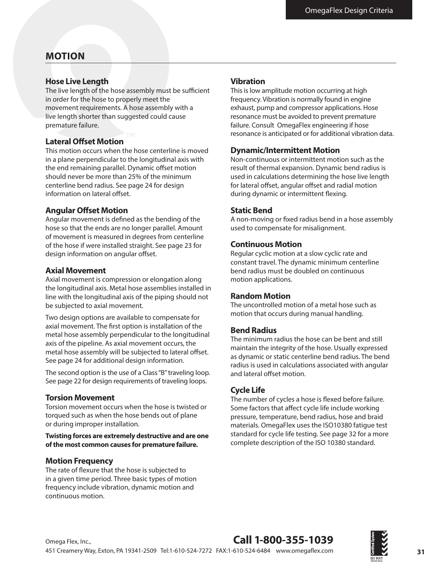### **MOTION**

#### **Hose Live Length**

The live length of the hose assembly must be sufficient in order for the hose to properly meet the movement requirements. A hose assembly with a live length shorter than suggested could cause premature failure.

#### **Lateral Ofset Motion**

This motion occurs when the hose centerline is moved in a plane perpendicular to the longitudinal axis with the end remaining parallel. Dynamic offset motion should never be more than 25% of the minimum centerline bend radius. See page 24 for design information on lateral offset.

#### **Angular Ofset Motion**

Angular movement is defned as the bending of the hose so that the ends are no longer parallel. Amount of movement is measured in degrees from centerline of the hose if were installed straight. See page 23 for design information on angular offset.

#### **Axial Movement**

Axial movement is compression or elongation along the longitudinal axis. Metal hose assemblies installed in line with the longitudinal axis of the piping should not be subjected to axial movement.

Two design options are available to compensate for axial movement. The frst option is installation of the metal hose assembly perpendicular to the longitudinal axis of the pipeline. As axial movement occurs, the metal hose assembly will be subjected to lateral offset. See page 24 for additional design information.

The second option is the use of a Class "B" traveling loop. See page 22 for design requirements of traveling loops.

#### **Torsion Movement**

Torsion movement occurs when the hose is twisted or torqued such as when the hose bends out of plane or during improper installation.

**Twisting forces are extremely destructive and are one of the most common causes for premature failure.**

#### **Motion Frequency**

The rate of fexure that the hose is subjected to in a given time period. Three basic types of motion frequency include vibration, dynamic motion and continuous motion.

#### **Vibration**

This is low amplitude motion occurring at high frequency. Vibration is normally found in engine exhaust, pump and compressor applications. Hose resonance must be avoided to prevent premature failure. Consult OmegaFlex engineering if hose resonance is anticipated or for additional vibration data.

#### **Dynamic/Intermittent Motion**

Non-continuous or intermittent motion such as the result of thermal expansion. Dynamic bend radius is used in calculations determining the hose live length for lateral offset, angular offset and radial motion during dynamic or intermittent fexing.

#### **Static Bend**

A non-moving or fxed radius bend in a hose assembly used to compensate for misalignment.

#### **Continuous Motion**

Regular cyclic motion at a slow cyclic rate and constant travel. The dynamic minimum centerline bend radius must be doubled on continuous motion applications.

#### **Random Motion**

The uncontrolled motion of a metal hose such as motion that occurs during manual handling.

#### **Bend Radius**

The minimum radius the hose can be bent and still maintain the integrity of the hose. Usually expressed as dynamic or static centerline bend radius. The bend radius is used in calculations associated with angular and lateral offset motion.

#### **Cycle Life**

The number of cycles a hose is fexed before failure. Some factors that affect cycle life include working pressure, temperature, bend radius, hose and braid materials. OmegaFlex uses the ISO10380 fatigue test standard for cycle life testing. See page 32 for a more complete description of the ISO 10380 standard.

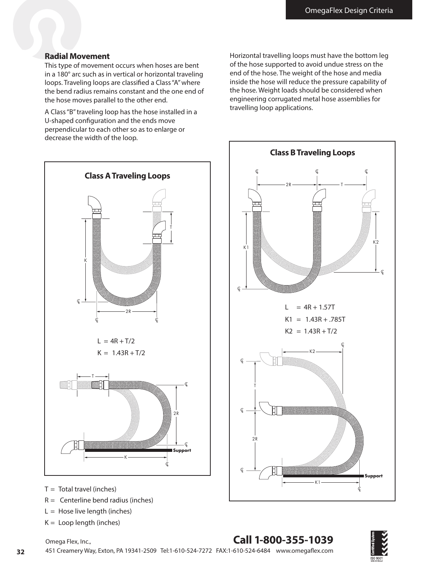#### **Radial Movement**

This type of movement occurs when hoses are bent in a 180° arc such as in vertical or horizontal traveling loops. Traveling loops are classifed a Class "A" where the bend radius remains constant and the one end of the hose moves parallel to the other end.

A Class "B" traveling loop has the hose installed in a U-shaped confguration and the ends move perpendicular to each other so as to enlarge or decrease the width of the loop.



- $T =$  Total travel (inches)
- $R =$  Centerline bend radius (inches)
- $L =$  Hose live length (inches)
- $K =$  Loop length (inches)

Horizontal travelling loops must have the bottom leg of the hose supported to avoid undue stress on the end of the hose. The weight of the hose and media inside the hose will reduce the pressure capability of the hose. Weight loads should be considered when engineering corrugated metal hose assemblies for travelling loop applications.



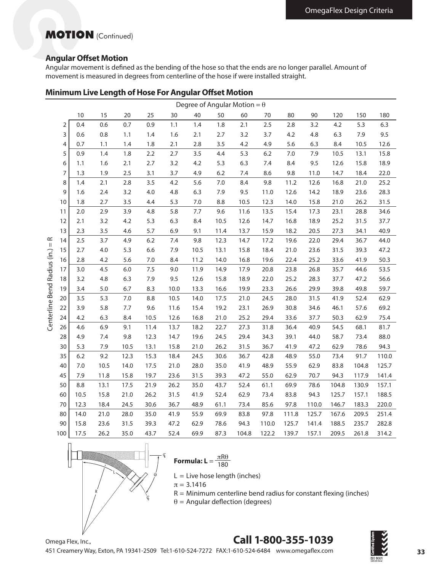## **MOTION** (Continued)

#### **Angular Ofset Motion**

Angular movement is defned as the bending of the hose so that the ends are no longer parallel. Amount of movement is measured in degrees from centerline of the hose if were installed straight.

|  |  | <b>Minimum Live Length of Hose For Angular Offset Motion</b> |
|--|--|--------------------------------------------------------------|
|  |  |                                                              |

|                              | Degree of Angular Motion = $\theta$ |      |      |      |       |      |      |      |       |       |       |       |       |       |       |
|------------------------------|-------------------------------------|------|------|------|-------|------|------|------|-------|-------|-------|-------|-------|-------|-------|
|                              |                                     | 10   | 15   | 20   | 25    | 30   | 40   | 50   | 60    | 70    | 80    | 90    | 120   | 150   | 180   |
|                              | 2                                   | 0.4  | 0.6  | 0.7  | 0.9   | 1.1  | 1.4  | 1.8  | 2.1   | 2.5   | 2.8   | 3.2   | 4.2   | 5.3   | 6.3   |
|                              | 3                                   | 0.6  | 0.8  | 1.1  | 1.4   | 1.6  | 2.1  | 2.7  | 3.2   | 3.7   | 4.2   | 4.8   | 6.3   | 7.9   | 9.5   |
|                              | 4                                   | 0.7  | 1.1  | 1.4  | 1.8   | 2.1  | 2.8  | 3.5  | 4.2   | 4.9   | 5.6   | 6.3   | 8.4   | 10.5  | 12.6  |
|                              | 5                                   | 0.9  | 1.4  | 1.8  | 2.2   | 2.7  | 3.5  | 4.4  | 5.3   | 6.2   | 7.0   | 7.9   | 10.5  | 13.1  | 15.8  |
|                              | 6                                   | 1.1  | 1.6  | 2.1  | 2.7   | 3.2  | 4.2  | 5.3  | 6.3   | 7.4   | 8.4   | 9.5   | 12.6  | 15.8  | 18.9  |
|                              | 7                                   | 1.3  | 1.9  | 2.5  | 3.1   | 3.7  | 4.9  | 6.2  | 7.4   | 8.6   | 9.8   | 11.0  | 14.7  | 18.4  | 22.0  |
|                              | 8                                   | 1.4  | 2.1  | 2.8  | 3.5   | 4.2  | 5.6  | 7.0  | 8.4   | 9.8   | 11.2  | 12.6  | 16.8  | 21.0  | 25.2  |
|                              | 9                                   | 1.6  | 2.4  | 3.2  | 4.0   | 4.8  | 6.3  | 7.9  | 9.5   | 11.0  | 12.6  | 14.2  | 18.9  | 23.6  | 28.3  |
|                              | 10                                  | 1.8  | 2.7  | 3.5  | 4.4   | 5.3  | 7.0  | 8.8  | 10.5  | 12.3  | 14.0  | 15.8  | 21.0  | 26.2  | 31.5  |
|                              | 11                                  | 2.0  | 2.9  | 3.9  | 4.8   | 5.8  | 7.7  | 9.6  | 11.6  | 13.5  | 15.4  | 17.3  | 23.1  | 28.8  | 34.6  |
|                              | 12                                  | 2.1  | 3.2  | 4.2  | 5.3   | 6.3  | 8.4  | 10.5 | 12.6  | 14.7  | 16.8  | 18.9  | 25.2  | 31.5  | 37.7  |
|                              | 13                                  | 2.3  | 3.5  | 4.6  | 5.7   | 6.9  | 9.1  | 11.4 | 13.7  | 15.9  | 18.2  | 20.5  | 27.3  | 34.1  | 40.9  |
| ∝<br>$\mid \mid$             | 14                                  | 2.5  | 3.7  | 4.9  | $6.2$ | 7.4  | 9.8  | 12.3 | 14.7  | 17.2  | 19.6  | 22.0  | 29.4  | 36.7  | 44.0  |
|                              | 15                                  | 2.7  | 4.0  | 5.3  | 6.6   | 7.9  | 10.5 | 13.1 | 15.8  | 18.4  | 21.0  | 23.6  | 31.5  | 39.3  | 47.2  |
|                              | 16                                  | 2.8  | 4.2  | 5.6  | 7.0   | 8.4  | 11.2 | 14.0 | 16.8  | 19.6  | 22.4  | 25.2  | 33.6  | 41.9  | 50.3  |
|                              | 17                                  | 3.0  | 4.5  | 6.0  | 7.5   | 9.0  | 11.9 | 14.9 | 17.9  | 20.8  | 23.8  | 26.8  | 35.7  | 44.6  | 53.5  |
|                              | 18                                  | 3.2  | 4.8  | 6.3  | 7.9   | 9.5  | 12.6 | 15.8 | 18.9  | 22.0  | 25.2  | 28.3  | 37.7  | 47.2  | 56.6  |
|                              | 19                                  | 3.4  | 5.0  | 6.7  | 8.3   | 10.0 | 13.3 | 16.6 | 19.9  | 23.3  | 26.6  | 29.9  | 39.8  | 49.8  | 59.7  |
|                              | 20                                  | 3.5  | 5.3  | 7.0  | 8.8   | 10.5 | 14.0 | 17.5 | 21.0  | 24.5  | 28.0  | 31.5  | 41.9  | 52.4  | 62.9  |
|                              | 22                                  | 3.9  | 5.8  | 7.7  | 9.6   | 11.6 | 15.4 | 19.2 | 23.1  | 26.9  | 30.8  | 34.6  | 46.1  | 57.6  | 69.2  |
| Centerline Bend Radius (in.) | 24                                  | 4.2  | 6.3  | 8.4  | 10.5  | 12.6 | 16.8 | 21.0 | 25.2  | 29.4  | 33.6  | 37.7  | 50.3  | 62.9  | 75.4  |
|                              | 26                                  | 4.6  | 6.9  | 9.1  | 11.4  | 13.7 | 18.2 | 22.7 | 27.3  | 31.8  | 36.4  | 40.9  | 54.5  | 68.1  | 81.7  |
|                              | 28                                  | 4.9  | 7.4  | 9.8  | 12.3  | 14.7 | 19.6 | 24.5 | 29.4  | 34.3  | 39.1  | 44.0  | 58.7  | 73.4  | 88.0  |
|                              | 30                                  | 5.3  | 7.9  | 10.5 | 13.1  | 15.8 | 21.0 | 26.2 | 31.5  | 36.7  | 41.9  | 47.2  | 62.9  | 78.6  | 94.3  |
|                              | 35                                  | 6.2  | 9.2  | 12.3 | 15.3  | 18.4 | 24.5 | 30.6 | 36.7  | 42.8  | 48.9  | 55.0  | 73.4  | 91.7  | 110.0 |
|                              | 40                                  | 7.0  | 10.5 | 14.0 | 17.5  | 21.0 | 28.0 | 35.0 | 41.9  | 48.9  | 55.9  | 62.9  | 83.8  | 104.8 | 125.7 |
|                              | 45                                  | 7.9  | 11.8 | 15.8 | 19.7  | 23.6 | 31.5 | 39.3 | 47.2  | 55.0  | 62.9  | 70.7  | 94.3  | 117.9 | 141.4 |
|                              | 50                                  | 8.8  | 13.1 | 17.5 | 21.9  | 26.2 | 35.0 | 43.7 | 52.4  | 61.1  | 69.9  | 78.6  | 104.8 | 130.9 | 157.1 |
|                              | 60                                  | 10.5 | 15.8 | 21.0 | 26.2  | 31.5 | 41.9 | 52.4 | 62.9  | 73.4  | 83.8  | 94.3  | 125.7 | 157.1 | 188.5 |
|                              | 70                                  | 12.3 | 18.4 | 24.5 | 30.6  | 36.7 | 48.9 | 61.1 | 73.4  | 85.6  | 97.8  | 110.0 | 146.7 | 183.3 | 220.0 |
|                              | 80                                  | 14.0 | 21.0 | 28.0 | 35.0  | 41.9 | 55.9 | 69.9 | 83.8  | 97.8  | 111.8 | 125.7 | 167.6 | 209.5 | 251.4 |
|                              | 90                                  | 15.8 | 23.6 | 31.5 | 39.3  | 47.2 | 62.9 | 78.6 | 94.3  | 110.0 | 125.7 | 141.4 | 188.5 | 235.7 | 282.8 |
|                              | 100                                 | 17.5 | 26.2 | 35.0 | 43.7  | 52.4 | 69.9 | 87.3 | 104.8 | 122.2 | 139.7 | 157.1 | 209.5 | 261.8 | 314.2 |



**Formula: L** =  $\frac{\pi R\theta}{180}$ 

 $L =$  Live hose length (inches)

 $\pi = 3.1416$ 

 $R =$  Minimum centerline bend radius for constant flexing (inches)

 $\theta$  = Angular deflection (degrees)